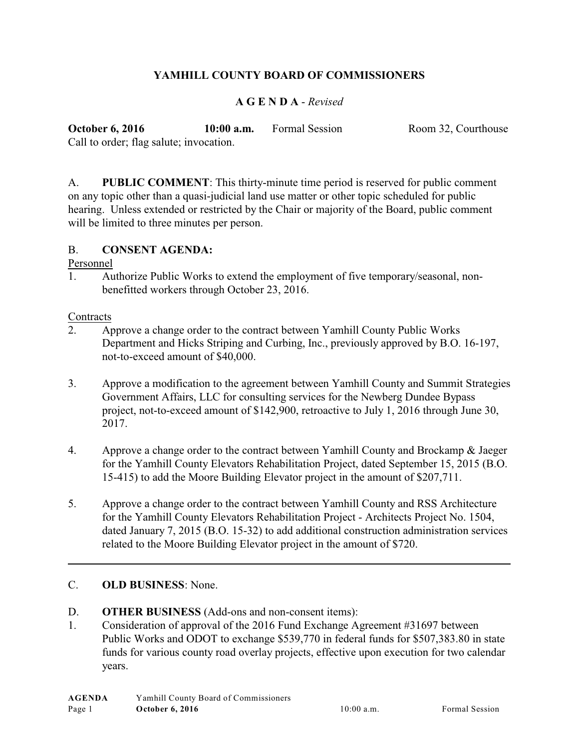## **YAMHILL COUNTY BOARD OF COMMISSIONERS**

## **A G E N D A** - *Revised*

| <b>October 6, 2016</b>                  | $10:00$ a.m. | Formal Session | Room 32, Courthouse |
|-----------------------------------------|--------------|----------------|---------------------|
| Call to order; flag salute; invocation. |              |                |                     |

A. **PUBLIC COMMENT**: This thirty-minute time period is reserved for public comment on any topic other than a quasi-judicial land use matter or other topic scheduled for public hearing. Unless extended or restricted by the Chair or majority of the Board, public comment will be limited to three minutes per person.

### B. **CONSENT AGENDA:**

#### Personnel

1. Authorize Public Works to extend the employment of five temporary/seasonal, nonbenefitted workers through October 23, 2016.

#### **Contracts**

- 2. Approve a change order to the contract between Yamhill County Public Works Department and Hicks Striping and Curbing, Inc., previously approved by B.O. 16-197, not-to-exceed amount of \$40,000.
- 3. Approve a modification to the agreement between Yamhill County and Summit Strategies Government Affairs, LLC for consulting services for the Newberg Dundee Bypass project, not-to-exceed amount of \$142,900, retroactive to July 1, 2016 through June 30, 2017.
- 4. Approve a change order to the contract between Yamhill County and Brockamp & Jaeger for the Yamhill County Elevators Rehabilitation Project, dated September 15, 2015 (B.O. 15-415) to add the Moore Building Elevator project in the amount of \$207,711.
- 5. Approve a change order to the contract between Yamhill County and RSS Architecture for the Yamhill County Elevators Rehabilitation Project - Architects Project No. 1504, dated January 7, 2015 (B.O. 15-32) to add additional construction administration services related to the Moore Building Elevator project in the amount of \$720.

#### C. **OLD BUSINESS**: None.

- D. **OTHER BUSINESS** (Add-ons and non-consent items):
- 1. Consideration of approval of the 2016 Fund Exchange Agreement #31697 between Public Works and ODOT to exchange \$539,770 in federal funds for \$507,383.80 in state funds for various county road overlay projects, effective upon execution for two calendar years.